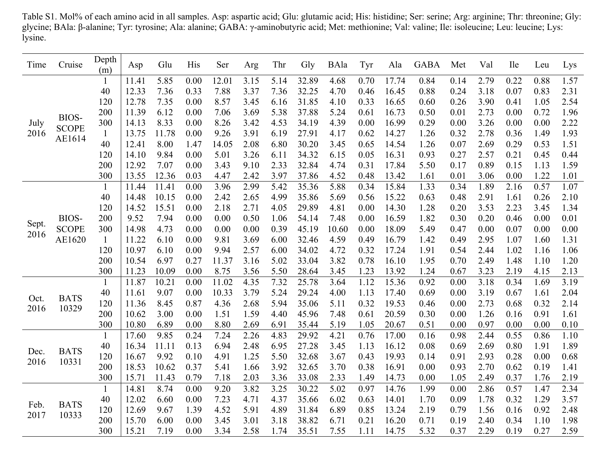Table S1. Mol% of each amino acid in all samples. Asp: aspartic acid; Glu: glutamic acid; His: histidine; Ser: serine; Arg: arginine; Thr: threonine; Gly: glycine; BAla: β-alanine; Tyr: tyrosine; Ala: alanine; GABA: γ-aminobutyric acid; Met: methionine; Val: valine; Ile: isoleucine; Leu: leucine; Lys: lysine.

| Time          | Cruise                          | Depth<br>(m) | Asp   | Glu   | His  | Ser   | Arg  | Thr  | Gly   | BAla  | Tyr  | Ala   | <b>GABA</b> | Met  | Val  | <b>Ile</b> | Leu  | Lys  |
|---------------|---------------------------------|--------------|-------|-------|------|-------|------|------|-------|-------|------|-------|-------------|------|------|------------|------|------|
| July<br>2016  | BIOS-<br><b>SCOPE</b><br>AE1614 | $\perp$      | 11.41 | 5.85  | 0.00 | 12.01 | 3.15 | 5.14 | 32.89 | 4.68  | 0.70 | 17.74 | 0.84        | 0.14 | 2.79 | 0.22       | 0.88 | 1.57 |
|               |                                 | 40           | 12.33 | 7.36  | 0.33 | 7.88  | 3.37 | 7.36 | 32.25 | 4.70  | 0.46 | 16.45 | 0.88        | 0.24 | 3.18 | 0.07       | 0.83 | 2.31 |
|               |                                 | 120          | 12.78 | 7.35  | 0.00 | 8.57  | 3.45 | 6.16 | 31.85 | 4.10  | 0.33 | 16.65 | 0.60        | 0.26 | 3.90 | 0.41       | 1.05 | 2.54 |
|               |                                 | 200          | 11.39 | 6.12  | 0.00 | 7.06  | 3.69 | 5.38 | 37.88 | 5.24  | 0.61 | 16.73 | 0.50        | 0.01 | 2.73 | 0.00       | 0.72 | 1.96 |
|               |                                 | 300          | 14.13 | 8.33  | 0.00 | 8.26  | 3.42 | 4.53 | 34.19 | 4.39  | 0.00 | 16.99 | 0.29        | 0.00 | 3.26 | 0.00       | 0.00 | 2.22 |
|               |                                 | $\mathbf{1}$ | 13.75 | 11.78 | 0.00 | 9.26  | 3.91 | 6.19 | 27.91 | 4.17  | 0.62 | 14.27 | 1.26        | 0.32 | 2.78 | 0.36       | 1.49 | 1.93 |
|               |                                 | 40           | 12.41 | 8.00  | 1.47 | 14.05 | 2.08 | 6.80 | 30.20 | 3.45  | 0.65 | 14.54 | 1.26        | 0.07 | 2.69 | 0.29       | 0.53 | 1.51 |
|               |                                 | 120          | 14.10 | 9.84  | 0.00 | 5.01  | 3.26 | 6.11 | 34.32 | 6.15  | 0.05 | 16.31 | 0.93        | 0.27 | 2.57 | 0.21       | 0.45 | 0.44 |
|               |                                 | 200          | 12.92 | 7.07  | 0.00 | 3.43  | 9.10 | 2.33 | 32.84 | 4.74  | 0.31 | 17.84 | 5.50        | 0.17 | 0.89 | 0.15       | 1.13 | 1.59 |
|               |                                 | 300          | 13.55 | 12.36 | 0.03 | 4.47  | 2.42 | 3.97 | 37.86 | 4.52  | 0.48 | 13.42 | 1.61        | 0.01 | 3.06 | 0.00       | 1.22 | 1.01 |
|               |                                 | 1            | 11.44 | 11.41 | 0.00 | 3.96  | 2.99 | 5.42 | 35.36 | 5.88  | 0.34 | 15.84 | 1.33        | 0.34 | 1.89 | 2.16       | 0.57 | 1.07 |
| Sept.<br>2016 | BIOS-<br><b>SCOPE</b><br>AE1620 | 40           | 14.48 | 10.15 | 0.00 | 2.42  | 2.65 | 4.99 | 35.86 | 5.69  | 0.56 | 15.22 | 0.63        | 0.48 | 2.91 | 1.61       | 0.26 | 2.10 |
|               |                                 | 120          | 14.52 | 15.51 | 0.00 | 2.18  | 2.71 | 4.05 | 29.89 | 4.81  | 0.00 | 14.30 | 1.28        | 0.20 | 3.53 | 2.23       | 3.45 | 1.34 |
|               |                                 | 200          | 9.52  | 7.94  | 0.00 | 0.00  | 0.50 | 1.06 | 54.14 | 7.48  | 0.00 | 16.59 | 1.82        | 0.30 | 0.20 | 0.46       | 0.00 | 0.01 |
|               |                                 | 300          | 14.98 | 4.73  | 0.00 | 0.00  | 0.00 | 0.39 | 45.19 | 10.60 | 0.00 | 18.09 | 5.49        | 0.47 | 0.00 | 0.07       | 0.00 | 0.00 |
|               |                                 | $\mathbf{1}$ | 11.22 | 6.10  | 0.00 | 9.81  | 3.69 | 6.00 | 32.46 | 4.59  | 0.49 | 16.79 | 1.42        | 0.49 | 2.95 | 1.07       | 1.60 | 1.31 |
|               |                                 | 120          | 10.97 | 6.10  | 0.00 | 9.94  | 2.57 | 6.00 | 34.02 | 4.72  | 0.32 | 17.24 | 1.91        | 0.54 | 2.44 | 1.02       | 1.16 | 1.06 |
|               |                                 | 200          | 10.54 | 6.97  | 0.27 | 11.37 | 3.16 | 5.02 | 33.04 | 3.82  | 0.78 | 16.10 | 1.95        | 0.70 | 2.49 | 1.48       | 1.10 | 1.20 |
|               |                                 | 300          | 11.23 | 10.09 | 0.00 | 8.75  | 3.56 | 5.50 | 28.64 | 3.45  | 1.23 | 13.92 | 1.24        | 0.67 | 3.23 | 2.19       | 4.15 | 2.13 |
|               | <b>BATS</b><br>10329            | $\mathbf{1}$ | 11.87 | 10.21 | 0.00 | 11.02 | 4.35 | 7.32 | 25.78 | 3.64  | 1.12 | 15.36 | 0.92        | 0.00 | 3.18 | 0.34       | 1.69 | 3.19 |
|               |                                 | 40           | 11.61 | 9.07  | 0.00 | 10.33 | 3.79 | 5.24 | 29.24 | 4.00  | 1.13 | 17.40 | 0.69        | 0.00 | 3.19 | 0.67       | 1.61 | 2.04 |
| Oct.<br>2016  |                                 | 120          | 11.36 | 8.45  | 0.87 | 4.36  | 2.68 | 5.94 | 35.06 | 5.11  | 0.32 | 19.53 | 0.46        | 0.00 | 2.73 | 0.68       | 0.32 | 2.14 |
|               |                                 | 200          | 10.62 | 3.00  | 0.00 | 1.51  | 1.59 | 4.40 | 45.96 | 7.48  | 0.61 | 20.59 | 0.30        | 0.00 | 1.26 | 0.16       | 0.91 | 1.61 |
|               |                                 | 300          | 10.80 | 6.89  | 0.00 | 8.80  | 2.69 | 6.91 | 35.44 | 5.19  | 1.05 | 20.67 | 0.51        | 0.00 | 0.97 | 0.00       | 0.00 | 0.10 |
| Dec.<br>2016  | <b>BATS</b><br>10331            | $\perp$      | 17.60 | 9.85  | 0.24 | 7.24  | 2.26 | 4.83 | 29.92 | 4.21  | 0.76 | 17.00 | 0.16        | 0.98 | 2.44 | 0.55       | 0.86 | 1.10 |
|               |                                 | 40           | 16.34 | 11.11 | 0.13 | 6.94  | 2.48 | 6.95 | 27.28 | 3.45  | 1.13 | 16.12 | 0.08        | 0.69 | 2.69 | 0.80       | 1.91 | 1.89 |
|               |                                 | 120          | 16.67 | 9.92  | 0.10 | 4.91  | 1.25 | 5.50 | 32.68 | 3.67  | 0.43 | 19.93 | 0.14        | 0.91 | 2.93 | 0.28       | 0.00 | 0.68 |
|               |                                 | 200          | 18.53 | 10.62 | 0.37 | 5.41  | 1.66 | 3.92 | 32.65 | 3.70  | 0.38 | 16.91 | 0.00        | 0.93 | 2.70 | 0.62       | 0.19 | 1.41 |
|               |                                 | 300          | 15.71 | 11.43 | 0.79 | 7.18  | 2.03 | 3.36 | 33.08 | 2.33  | 1.49 | 14.73 | 0.00        | 1.05 | 2.49 | 0.37       | 1.76 | 2.19 |
|               | <b>BATS</b><br>10333            | $\mathbf{1}$ | 14.81 | 8.74  | 0.00 | 9.20  | 3.82 | 3.25 | 30.22 | 5.02  | 0.97 | 14.76 | 1.99        | 0.00 | 2.86 | 0.57       | 1.47 | 2.34 |
|               |                                 | 40           | 12.02 | 6.60  | 0.00 | 7.23  | 4.71 | 4.37 | 35.66 | 6.02  | 0.63 | 14.01 | 1.70        | 0.09 | 1.78 | 0.32       | 1.29 | 3.57 |
| Feb.<br>2017  |                                 | 120          | 12.69 | 9.67  | 1.39 | 4.52  | 5.91 | 4.89 | 31.84 | 6.89  | 0.85 | 13.24 | 2.19        | 0.79 | 1.56 | 0.16       | 0.92 | 2.48 |
|               |                                 | 200          | 15.70 | 6.00  | 0.00 | 3.45  | 3.01 | 3.18 | 38.82 | 6.71  | 0.21 | 16.20 | 0.71        | 0.19 | 2.40 | 0.34       | 1.10 | 1.98 |
|               |                                 | 300          | 15.21 | 7.19  | 0.00 | 3.34  | 2.58 | 1.74 | 35.51 | 7.55  | 1.11 | 14.75 | 5.32        | 0.37 | 2.29 | 0.19       | 0.27 | 2.59 |